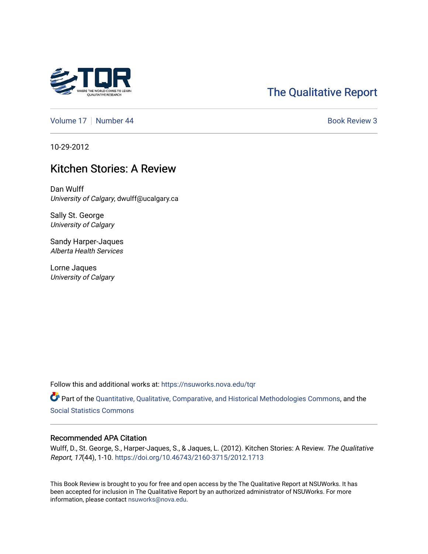

# [The Qualitative Report](https://nsuworks.nova.edu/tqr)

[Volume 17](https://nsuworks.nova.edu/tqr/vol17) | [Number 44](https://nsuworks.nova.edu/tqr/vol17/iss44) Book Review 3

10-29-2012

## Kitchen Stories: A Review

Dan Wulff University of Calgary, dwulff@ucalgary.ca

Sally St. George University of Calgary

Sandy Harper-Jaques Alberta Health Services

Lorne Jaques University of Calgary

Follow this and additional works at: [https://nsuworks.nova.edu/tqr](https://nsuworks.nova.edu/tqr?utm_source=nsuworks.nova.edu%2Ftqr%2Fvol17%2Fiss44%2F3&utm_medium=PDF&utm_campaign=PDFCoverPages) 

Part of the [Quantitative, Qualitative, Comparative, and Historical Methodologies Commons,](http://network.bepress.com/hgg/discipline/423?utm_source=nsuworks.nova.edu%2Ftqr%2Fvol17%2Fiss44%2F3&utm_medium=PDF&utm_campaign=PDFCoverPages) and the [Social Statistics Commons](http://network.bepress.com/hgg/discipline/1275?utm_source=nsuworks.nova.edu%2Ftqr%2Fvol17%2Fiss44%2F3&utm_medium=PDF&utm_campaign=PDFCoverPages) 

#### Recommended APA Citation

Wulff, D., St. George, S., Harper-Jaques, S., & Jaques, L. (2012). Kitchen Stories: A Review. The Qualitative Report, 17(44), 1-10. <https://doi.org/10.46743/2160-3715/2012.1713>

This Book Review is brought to you for free and open access by the The Qualitative Report at NSUWorks. It has been accepted for inclusion in The Qualitative Report by an authorized administrator of NSUWorks. For more information, please contact [nsuworks@nova.edu.](mailto:nsuworks@nova.edu)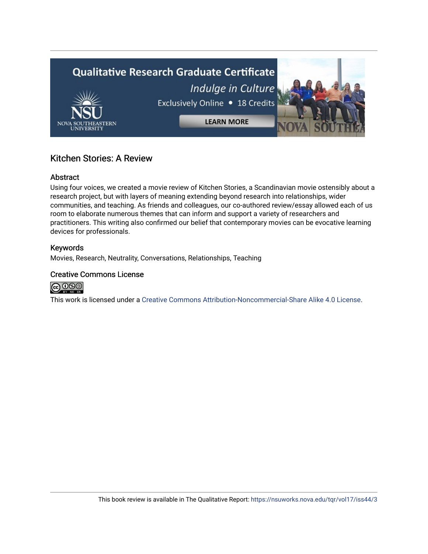

## Kitchen Stories: A Review

## Abstract

Using four voices, we created a movie review of Kitchen Stories, a Scandinavian movie ostensibly about a research project, but with layers of meaning extending beyond research into relationships, wider communities, and teaching. As friends and colleagues, our co-authored review/essay allowed each of us room to elaborate numerous themes that can inform and support a variety of researchers and practitioners. This writing also confirmed our belief that contemporary movies can be evocative learning devices for professionals.

### Keywords

Movies, Research, Neutrality, Conversations, Relationships, Teaching

### Creative Commons License



This work is licensed under a [Creative Commons Attribution-Noncommercial-Share Alike 4.0 License](https://creativecommons.org/licenses/by-nc-sa/4.0/).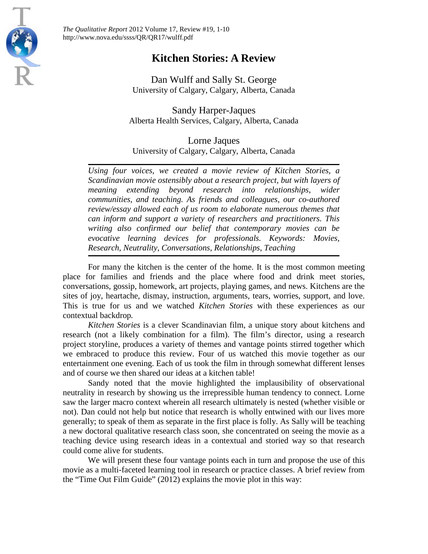

*The Qualitative Report* 2012 Volume 17, Review #19, 1-10 http://www.nova.edu/ssss/QR/QR17/wulff.pdf

## **Kitchen Stories: A Review**

Dan Wulff and Sally St. George University of Calgary, Calgary, Alberta, Canada

Sandy Harper-Jaques Alberta Health Services, Calgary, Alberta, Canada

Lorne Jaques University of Calgary, Calgary, Alberta, Canada

*Using four voices, we created a movie review of Kitchen Stories, a Scandinavian movie ostensibly about a research project, but with layers of meaning extending beyond research into relationships, wider communities, and teaching. As friends and colleagues, our co-authored review/essay allowed each of us room to elaborate numerous themes that can inform and support a variety of researchers and practitioners. This writing also confirmed our belief that contemporary movies can be evocative learning devices for professionals. Keywords: Movies, Research, Neutrality, Conversations, Relationships, Teaching*

For many the kitchen is the center of the home. It is the most common meeting place for families and friends and the place where food and drink meet stories, conversations, gossip, homework, art projects, playing games, and news. Kitchens are the sites of joy, heartache, dismay, instruction, arguments, tears, worries, support, and love. This is true for us and we watched *Kitchen Stories* with these experiences as our contextual backdrop*.*

*Kitchen Stories* is a clever Scandinavian film, a unique story about kitchens and research (not a likely combination for a film). The film's director, using a research project storyline, produces a variety of themes and vantage points stirred together which we embraced to produce this review. Four of us watched this movie together as our entertainment one evening. Each of us took the film in through somewhat different lenses and of course we then shared our ideas at a kitchen table!

Sandy noted that the movie highlighted the implausibility of observational neutrality in research by showing us the irrepressible human tendency to connect. Lorne saw the larger macro context wherein all research ultimately is nested (whether visible or not). Dan could not help but notice that research is wholly entwined with our lives more generally; to speak of them as separate in the first place is folly. As Sally will be teaching a new doctoral qualitative research class soon, she concentrated on seeing the movie as a teaching device using research ideas in a contextual and storied way so that research could come alive for students.

We will present these four vantage points each in turn and propose the use of this movie as a multi-faceted learning tool in research or practice classes. A brief review from the "Time Out Film Guide" (2012) explains the movie plot in this way: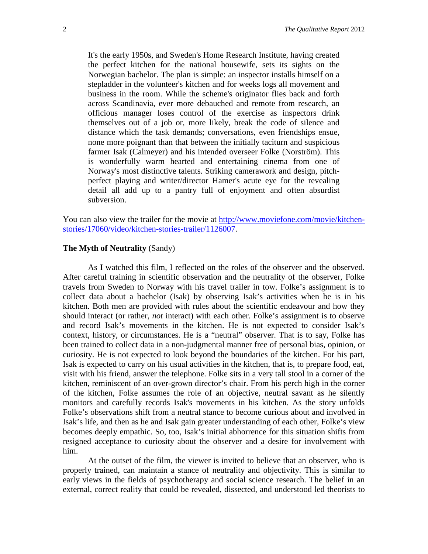It's the early 1950s, and Sweden's Home Research Institute, having created the perfect kitchen for the national housewife, sets its sights on the Norwegian bachelor. The plan is simple: an inspector installs himself on a stepladder in the volunteer's kitchen and for weeks logs all movement and business in the room. While the scheme's originator flies back and forth across Scandinavia, ever more debauched and remote from research, an officious manager loses control of the exercise as inspectors drink themselves out of a job or, more likely, break the code of silence and distance which the task demands; conversations, even friendships ensue, none more poignant than that between the initially taciturn and suspicious farmer Isak (Calmeyer) and his intended overseer Folke (Norström). This is wonderfully warm hearted and entertaining cinema from one of Norway's most distinctive talents. Striking camerawork and design, pitchperfect playing and writer/director Hamer's acute eye for the revealing detail all add up to a pantry full of enjoyment and often absurdist subversion.

You can also view the trailer for the movie at [http://www.moviefone.com/movie/kitchen](http://www.moviefone.com/movie/kitchen-stories/17060/video/kitchen-stories-trailer/1126007)[stories/17060/video/kitchen-stories-trailer/1126007.](http://www.moviefone.com/movie/kitchen-stories/17060/video/kitchen-stories-trailer/1126007)

#### **The Myth of Neutrality** (Sandy)

As I watched this film, I reflected on the roles of the observer and the observed. After careful training in scientific observation and the neutrality of the observer, Folke travels from Sweden to Norway with his travel trailer in tow. Folke's assignment is to collect data about a bachelor (Isak) by observing Isak's activities when he is in his kitchen. Both men are provided with rules about the scientific endeavour and how they should interact (or rather, *not* interact) with each other. Folke's assignment is to observe and record Isak's movements in the kitchen. He is not expected to consider Isak's context, history, or circumstances. He is a "neutral" observer. That is to say, Folke has been trained to collect data in a non-judgmental manner free of personal bias, opinion, or curiosity. He is not expected to look beyond the boundaries of the kitchen. For his part, Isak is expected to carry on his usual activities in the kitchen, that is, to prepare food, eat, visit with his friend, answer the telephone. Folke sits in a very tall stool in a corner of the kitchen, reminiscent of an over-grown director's chair. From his perch high in the corner of the kitchen, Folke assumes the role of an objective, neutral savant as he silently monitors and carefully records Isak's movements in his kitchen. As the story unfolds Folke's observations shift from a neutral stance to become curious about and involved in Isak's life, and then as he and Isak gain greater understanding of each other, Folke's view becomes deeply empathic. So, too, Isak's initial abhorrence for this situation shifts from resigned acceptance to curiosity about the observer and a desire for involvement with him.

At the outset of the film, the viewer is invited to believe that an observer, who is properly trained, can maintain a stance of neutrality and objectivity. This is similar to early views in the fields of psychotherapy and social science research. The belief in an external, correct reality that could be revealed, dissected, and understood led theorists to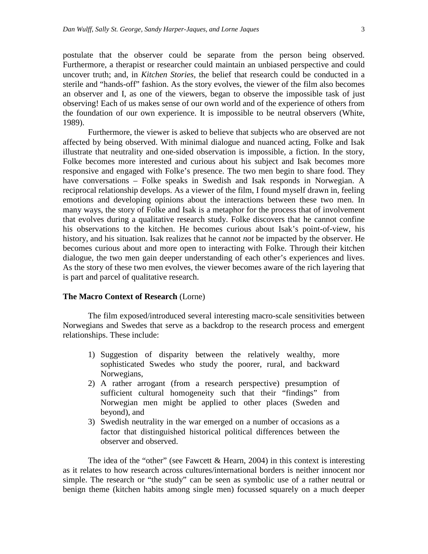postulate that the observer could be separate from the person being observed. Furthermore, a therapist or researcher could maintain an unbiased perspective and could uncover truth; and, in *Kitchen Stories,* the belief that research could be conducted in a sterile and "hands-off" fashion. As the story evolves, the viewer of the film also becomes an observer and I, as one of the viewers, began to observe the impossible task of just observing! Each of us makes sense of our own world and of the experience of others from the foundation of our own experience. It is impossible to be neutral observers (White, 1989).

Furthermore, the viewer is asked to believe that subjects who are observed are not affected by being observed. With minimal dialogue and nuanced acting, Folke and Isak illustrate that neutrality and one-sided observation is impossible, a fiction. In the story, Folke becomes more interested and curious about his subject and Isak becomes more responsive and engaged with Folke's presence. The two men begin to share food. They have conversations – Folke speaks in Swedish and Isak responds in Norwegian. A reciprocal relationship develops. As a viewer of the film, I found myself drawn in, feeling emotions and developing opinions about the interactions between these two men. In many ways, the story of Folke and Isak is a metaphor for the process that of involvement that evolves during a qualitative research study. Folke discovers that he cannot confine his observations to the kitchen. He becomes curious about Isak's point-of-view, his history, and his situation. Isak realizes that he cannot *not* be impacted by the observer. He becomes curious about and more open to interacting with Folke. Through their kitchen dialogue, the two men gain deeper understanding of each other's experiences and lives. As the story of these two men evolves, the viewer becomes aware of the rich layering that is part and parcel of qualitative research.

#### **The Macro Context of Research** (Lorne)

The film exposed/introduced several interesting macro-scale sensitivities between Norwegians and Swedes that serve as a backdrop to the research process and emergent relationships. These include:

- 1) Suggestion of disparity between the relatively wealthy, more sophisticated Swedes who study the poorer, rural, and backward Norwegians,
- 2) A rather arrogant (from a research perspective) presumption of sufficient cultural homogeneity such that their "findings" from Norwegian men might be applied to other places (Sweden and beyond), and
- 3) Swedish neutrality in the war emerged on a number of occasions as a factor that distinguished historical political differences between the observer and observed.

The idea of the "other" (see Fawcett & Hearn, 2004) in this context is interesting as it relates to how research across cultures/international borders is neither innocent nor simple. The research or "the study" can be seen as symbolic use of a rather neutral or benign theme (kitchen habits among single men) focussed squarely on a much deeper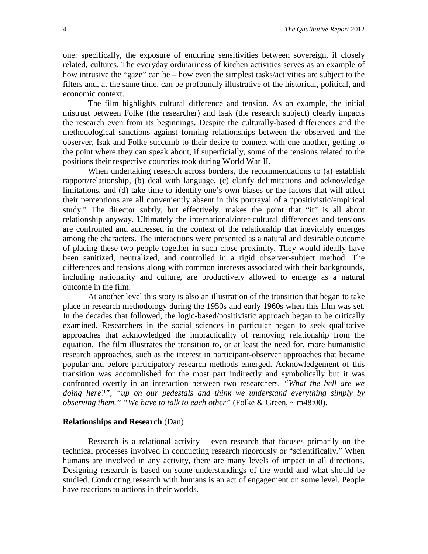one: specifically, the exposure of enduring sensitivities between sovereign, if closely related, cultures. The everyday ordinariness of kitchen activities serves as an example of how intrusive the "gaze" can be – how even the simplest tasks/activities are subject to the filters and, at the same time, can be profoundly illustrative of the historical, political, and economic context.

The film highlights cultural difference and tension. As an example, the initial mistrust between Folke (the researcher) and Isak (the research subject) clearly impacts the research even from its beginnings. Despite the culturally-based differences and the methodological sanctions against forming relationships between the observed and the observer, Isak and Folke succumb to their desire to connect with one another, getting to the point where they can speak about, if superficially, some of the tensions related to the positions their respective countries took during World War II.

When undertaking research across borders, the recommendations to (a) establish rapport/relationship, (b) deal with language, (c) clarify delimitations and acknowledge limitations, and (d) take time to identify one's own biases or the factors that will affect their perceptions are all conveniently absent in this portrayal of a "positivistic/empirical study." The director subtly, but effectively, makes the point that "it" is all about relationship anyway. Ultimately the international/inter-cultural differences and tensions are confronted and addressed in the context of the relationship that inevitably emerges among the characters. The interactions were presented as a natural and desirable outcome of placing these two people together in such close proximity. They would ideally have been sanitized, neutralized, and controlled in a rigid observer-subject method. The differences and tensions along with common interests associated with their backgrounds, including nationality and culture, are productively allowed to emerge as a natural outcome in the film.

At another level this story is also an illustration of the transition that began to take place in research methodology during the 1950s and early 1960s when this film was set. In the decades that followed, the logic-based/positivistic approach began to be critically examined. Researchers in the social sciences in particular began to seek qualitative approaches that acknowledged the impracticality of removing relationship from the equation. The film illustrates the transition to, or at least the need for, more humanistic research approaches, such as the interest in participant-observer approaches that became popular and before participatory research methods emerged. Acknowledgement of this transition was accomplished for the most part indirectly and symbolically but it was confronted overtly in an interaction between two researchers, *"What the hell are we doing here?", "up on our pedestals and think we understand everything simply by observing them." "We have to talk to each other"* (Folke & Green, ~ m48:00).

#### **Relationships and Research** (Dan)

Research is a relational activity – even research that focuses primarily on the technical processes involved in conducting research rigorously or "scientifically." When humans are involved in any activity, there are many levels of impact in all directions. Designing research is based on some understandings of the world and what should be studied. Conducting research with humans is an act of engagement on some level. People have reactions to actions in their worlds.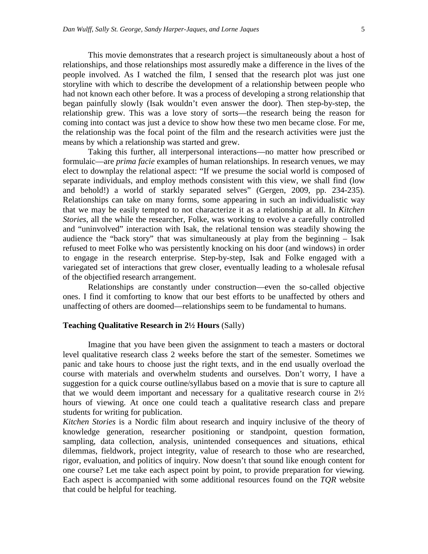This movie demonstrates that a research project is simultaneously about a host of relationships, and those relationships most assuredly make a difference in the lives of the people involved. As I watched the film, I sensed that the research plot was just one storyline with which to describe the development of a relationship between people who had not known each other before. It was a process of developing a strong relationship that began painfully slowly (Isak wouldn't even answer the door). Then step-by-step, the relationship grew. This was a love story of sorts—the research being the reason for coming into contact was just a device to show how these two men became close. For me, the relationship was the focal point of the film and the research activities were just the means by which a relationship was started and grew.

Taking this further, all interpersonal interactions—no matter how prescribed or formulaic—are *prima facie* examples of human relationships. In research venues, we may elect to downplay the relational aspect: "If we presume the social world is composed of separate individuals, and employ methods consistent with this view, we shall find (low and behold!) a world of starkly separated selves" (Gergen, 2009, pp. 234-235). Relationships can take on many forms, some appearing in such an individualistic way that we may be easily tempted to not characterize it as a relationship at all. In *Kitchen Stories*, all the while the researcher, Folke, was working to evolve a carefully controlled and "uninvolved" interaction with Isak, the relational tension was steadily showing the audience the "back story" that was simultaneously at play from the beginning – Isak refused to meet Folke who was persistently knocking on his door (and windows) in order to engage in the research enterprise. Step-by-step, Isak and Folke engaged with a variegated set of interactions that grew closer, eventually leading to a wholesale refusal of the objectified research arrangement.

Relationships are constantly under construction—even the so-called objective ones. I find it comforting to know that our best efforts to be unaffected by others and unaffecting of others are doomed—relationships seem to be fundamental to humans.

#### **Teaching Qualitative Research in 2½ Hours** (Sally)

Imagine that you have been given the assignment to teach a masters or doctoral level qualitative research class 2 weeks before the start of the semester. Sometimes we panic and take hours to choose just the right texts, and in the end usually overload the course with materials and overwhelm students and ourselves. Don't worry, I have a suggestion for a quick course outline/syllabus based on a movie that is sure to capture all that we would deem important and necessary for a qualitative research course in  $2\frac{1}{2}$ hours of viewing. At once one could teach a qualitative research class and prepare students for writing for publication.

*Kitchen Stories* is a Nordic film about research and inquiry inclusive of the theory of knowledge generation, researcher positioning or standpoint, question formation, sampling, data collection, analysis, unintended consequences and situations, ethical dilemmas, fieldwork, project integrity, value of research to those who are researched, rigor, evaluation, and politics of inquiry. Now doesn't that sound like enough content for one course? Let me take each aspect point by point, to provide preparation for viewing. Each aspect is accompanied with some additional resources found on the *TQR* website that could be helpful for teaching.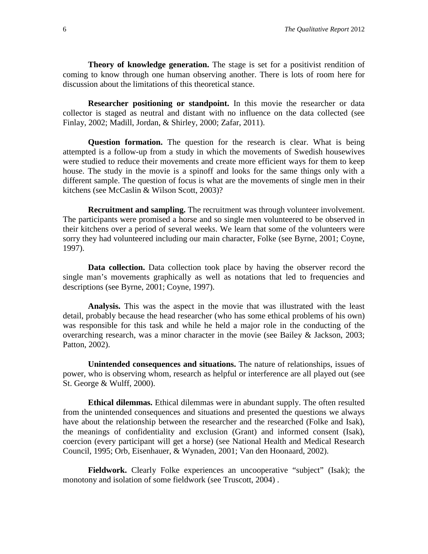**Theory of knowledge generation.** The stage is set for a positivist rendition of coming to know through one human observing another. There is lots of room here for discussion about the limitations of this theoretical stance.

**Researcher positioning or standpoint.** In this movie the researcher or data collector is staged as neutral and distant with no influence on the data collected (see Finlay, 2002; Madill, Jordan, & Shirley, 2000; Zafar, 2011).

**Question formation.** The question for the research is clear. What is being attempted is a follow-up from a study in which the movements of Swedish housewives were studied to reduce their movements and create more efficient ways for them to keep house. The study in the movie is a spinoff and looks for the same things only with a different sample. The question of focus is what are the movements of single men in their kitchens (see McCaslin & Wilson Scott, 2003)?

**Recruitment and sampling.** The recruitment was through volunteer involvement. The participants were promised a horse and so single men volunteered to be observed in their kitchens over a period of several weeks. We learn that some of the volunteers were sorry they had volunteered including our main character, Folke (see Byrne, 2001; Coyne, 1997).

**Data collection.** Data collection took place by having the observer record the single man's movements graphically as well as notations that led to frequencies and descriptions (see Byrne, 2001; Coyne, 1997).

**Analysis.** This was the aspect in the movie that was illustrated with the least detail, probably because the head researcher (who has some ethical problems of his own) was responsible for this task and while he held a major role in the conducting of the overarching research, was a minor character in the movie (see Bailey & Jackson, 2003; Patton, 2002).

**Unintended consequences and situations.** The nature of relationships, issues of power, who is observing whom, research as helpful or interference are all played out (see St. George & Wulff, 2000).

**Ethical dilemmas.** Ethical dilemmas were in abundant supply. The often resulted from the unintended consequences and situations and presented the questions we always have about the relationship between the researcher and the researched (Folke and Isak), the meanings of confidentiality and exclusion (Grant) and informed consent (Isak), coercion (every participant will get a horse) (see National Health and Medical Research Council, 1995; Orb, Eisenhauer, & Wynaden, 2001; Van den Hoonaard, 2002).

**Fieldwork.** Clearly Folke experiences an uncooperative "subject" (Isak); the monotony and isolation of some fieldwork (see Truscott, 2004) .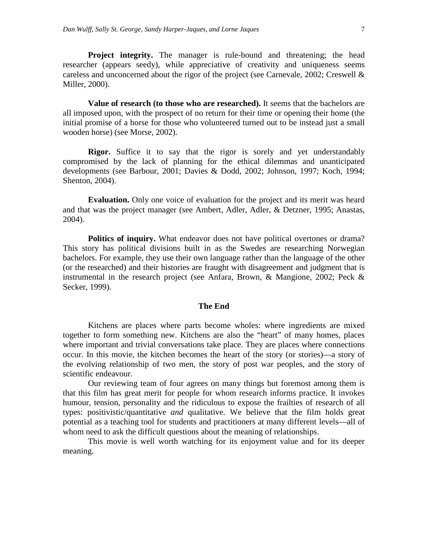**Project integrity.** The manager is rule-bound and threatening; the head researcher (appears seedy), while appreciative of creativity and uniqueness seems careless and unconcerned about the rigor of the project (see Carnevale, 2002; Creswell & Miller, 2000).

**Value of research (to those who are researched).** It seems that the bachelors are all imposed upon, with the prospect of no return for their time or opening their home (the initial promise of a horse for those who volunteered turned out to be instead just a small wooden horse) (see Morse, 2002).

**Rigor.** Suffice it to say that the rigor is sorely and yet understandably compromised by the lack of planning for the ethical dilemmas and unanticipated developments (see Barbour, 2001; Davies & Dodd, 2002; Johnson, 1997; Koch, 1994; Shenton, 2004).

**Evaluation.** Only one voice of evaluation for the project and its merit was heard and that was the project manager (see Ambert, Adler, Adler, & Detzner, 1995; Anastas, 2004).

**Politics of inquiry.** What endeavor does not have political overtones or drama? This story has political divisions built in as the Swedes are researching Norwegian bachelors. For example, they use their own language rather than the language of the other (or the researched) and their histories are fraught with disagreement and judgment that is instrumental in the research project (see Anfara, Brown, & Mangione, 2002; Peck & Secker, 1999).

#### **The End**

Kitchens are places where parts become wholes: where ingredients are mixed together to form something new. Kitchens are also the "heart" of many homes, places where important and trivial conversations take place. They are places where connections occur. In this movie, the kitchen becomes the heart of the story (or stories)—a story of the evolving relationship of two men, the story of post war peoples, and the story of scientific endeavour.

Our reviewing team of four agrees on many things but foremost among them is that this film has great merit for people for whom research informs practice. It invokes humour, tension, personality and the ridiculous to expose the frailties of research of all types: positivistic/quantitative *and* qualitative. We believe that the film holds great potential as a teaching tool for students and practitioners at many different levels—all of whom need to ask the difficult questions about the meaning of relationships.

This movie is well worth watching for its enjoyment value and for its deeper meaning.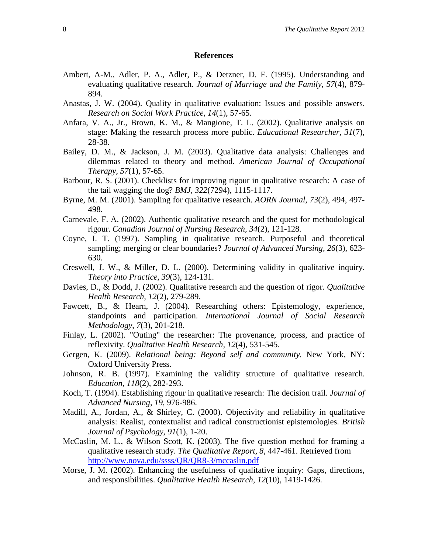#### **References**

- Ambert, A-M., Adler, P. A., Adler, P., & Detzner, D. F. (1995). Understanding and evaluating qualitative research. *Journal of Marriage and the Family, 57*(4), 879- 894.
- Anastas, J. W. (2004). Quality in qualitative evaluation: Issues and possible answers. *Research on Social Work Practice, 14*(1), 57-65.
- Anfara, V. A., Jr., Brown, K. M., & Mangione, T. L. (2002). Qualitative analysis on stage: Making the research process more public. *Educational Researcher, 31*(7), 28-38.
- Bailey, D. M., & Jackson, J. M. (2003). Qualitative data analysis: Challenges and dilemmas related to theory and method. *American Journal of Occupational Therapy, 57*(1), 57-65.
- Barbour, R. S. (2001). Checklists for improving rigour in qualitative research: A case of the tail wagging the dog? *BMJ, 322*(7294), 1115-1117.
- Byrne, M. M. (2001). Sampling for qualitative research. *AORN Journal, 73*(2), 494, 497- 498.
- Carnevale, F. A. (2002). Authentic qualitative research and the quest for methodological rigour. *Canadian Journal of Nursing Research, 34*(2), 121-128*.*
- Coyne, I. T. (1997). Sampling in qualitative research. Purposeful and theoretical sampling; merging or clear boundaries? *Journal of Advanced Nursing, 26*(3), 623- 630.
- Creswell, J. W., & Miller, D. L. (2000). Determining validity in qualitative inquiry. *Theory into Practice, 39*(3), 124-131.
- Davies, D., & Dodd, J. (2002). Qualitative research and the question of rigor. *Qualitative Health Research, 12*(2), 279-289.
- Fawcett, B., & Hearn, J. (2004). Researching others: Epistemology, experience, standpoints and participation. *International Journal of Social Research Methodology*, *7*(3), 201-218.
- Finlay, L. (2002). "Outing" the researcher: The provenance, process, and practice of reflexivity. *Qualitative Health Research, 12*(4), 531-545.
- Gergen, K. (2009). *Relational being: Beyond self and community.* New York, NY: Oxford University Press.
- Johnson, R. B. (1997). Examining the validity structure of qualitative research. *Education, 118*(2), 282-293.
- Koch, T. (1994). Establishing rigour in qualitative research: The decision trail. *Journal of Advanced Nursing, 19*, 976-986.
- Madill, A., Jordan, A., & Shirley, C. (2000). Objectivity and reliability in qualitative analysis: Realist, contextualist and radical constructionist epistemologies. *British Journal of Psychology, 91*(1), 1-20.
- McCaslin, M. L., & Wilson Scott, K. (2003). The five question method for framing a qualitative research study. *The Qualitative Report, 8,* 447-461. Retrieved from <http://www.nova.edu/ssss/QR/QR8-3/mccaslin.pdf>
- Morse, J. M. (2002). Enhancing the usefulness of qualitative inquiry: Gaps, directions, and responsibilities. *Qualitative Health Research, 12*(10), 1419-1426.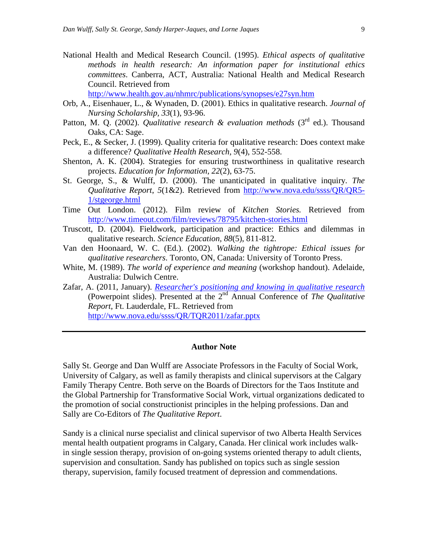National Health and Medical Research Council. (1995). *Ethical aspects of qualitative methods in health research: An information paper for institutional ethics committees*. Canberra, ACT, Australia: National Health and Medical Research Council. Retrieved from

<http://www.health.gov.au/nhmrc/publications/synopses/e27syn.htm>

- Orb, A., Eisenhauer, L., & Wynaden, D. (2001). Ethics in qualitative research. *Journal of Nursing Scholarship, 33*(1), 93-96.
- Patton, M. Q. (2002). *Qualitative research & evaluation methods* (3<sup>rd</sup> ed.). Thousand Oaks, CA: Sage.
- Peck, E., & Secker, J. (1999). Quality criteria for qualitative research: Does context make a difference? *Qualitative Health Research, 9*(4), 552-558.
- Shenton, A. K. (2004). Strategies for ensuring trustworthiness in qualitative research projects. *Education for Information, 22*(2), 63-75.
- St. George, S., & Wulff, D. (2000). The unanticipated in qualitative inquiry. *The Qualitative Report*, *5*(1&2). Retrieved from [http://www.nova.edu/ssss/QR/QR5-](http://www.nova.edu/ssss/QR/QR5-1/stgeorge.html) [1/stgeorge.html](http://www.nova.edu/ssss/QR/QR5-1/stgeorge.html)
- Time Out London. (2012). Film review of *Kitchen Stories.* Retrieved from <http://www.timeout.com/film/reviews/78795/kitchen-stories.html>
- Truscott, D. (2004). Fieldwork, participation and practice: Ethics and dilemmas in qualitative research. *Science Education, 88*(5), 811-812.
- Van den Hoonaard, W. C. (Ed.). (2002). *Walking the tightrope: Ethical issues for qualitative researchers*. Toronto, ON, Canada: University of Toronto Press.
- White, M. (1989). *The world of experience and meaning* (workshop handout). Adelaide, Australia: Dulwich Centre.
- Zafar, A. (2011, January). *[Researcher's positioning and knowing in qualitative research](http://www.google.ca/url?sa=t&rct=j&q=researcher%20positioning%20qualitative&source=web&cd=2&ved=0CC0QFjAB&url=http%3A%2F%2Fwww.nova.edu%2Fssss%2FQR%2FTQR2011%2Fzafar.pptx&ei=IaJ4T8GPE6WPigLNuaSnDg&usg=AFQjCNHA-M6peeFIuq2d2bMv92IVjKM-Ng)* (Powerpoint slides). Presented at the 2nd Annual Conference of *The Qualitative Report*, Ft. Lauderdale, FL. Retrieved from <http://www.nova.edu/ssss/QR/TQR2011/zafar.pptx>

#### **Author Note**

Sally St. George and Dan Wulff are Associate Professors in the Faculty of Social Work, University of Calgary, as well as family therapists and clinical supervisors at the Calgary Family Therapy Centre. Both serve on the Boards of Directors for the Taos Institute and the Global Partnership for Transformative Social Work, virtual organizations dedicated to the promotion of social constructionist principles in the helping professions. Dan and Sally are Co-Editors of *The Qualitative Report*.

Sandy is a clinical nurse specialist and clinical supervisor of two Alberta Health Services mental health outpatient programs in Calgary, Canada. Her clinical work includes walkin single session therapy, provision of on-going systems oriented therapy to adult clients, supervision and consultation. Sandy has published on topics such as single session therapy, supervision, family focused treatment of depression and commendations.